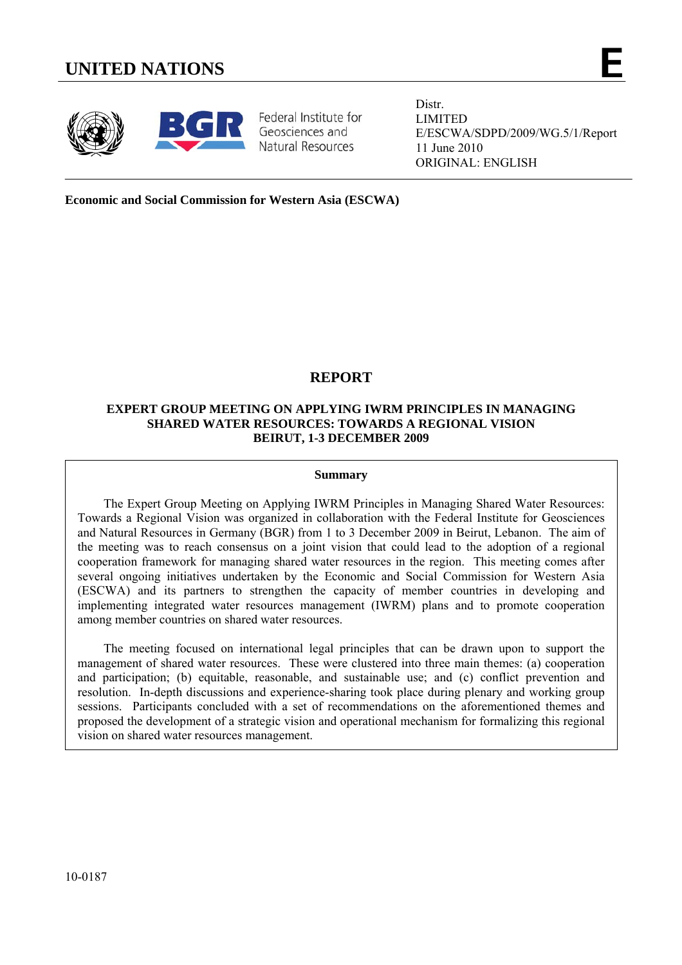# **UNITED NATIONS E**





Federal Institute for Geosciences and Natural Resources

Distr. LIMITED E/ESCWA/SDPD/2009/WG.5/1/Report 11 June 2010 ORIGINAL: ENGLISH

**Economic and Social Commission for Western Asia (ESCWA)** 

# **REPORT**

# **EXPERT GROUP MEETING ON APPLYING IWRM PRINCIPLES IN MANAGING SHARED WATER RESOURCES: TOWARDS A REGIONAL VISION BEIRUT, 1-3 DECEMBER 2009**

#### **Summary**

 The Expert Group Meeting on Applying IWRM Principles in Managing Shared Water Resources: Towards a Regional Vision was organized in collaboration with the Federal Institute for Geosciences and Natural Resources in Germany (BGR) from 1 to 3 December 2009 in Beirut, Lebanon. The aim of the meeting was to reach consensus on a joint vision that could lead to the adoption of a regional cooperation framework for managing shared water resources in the region. This meeting comes after several ongoing initiatives undertaken by the Economic and Social Commission for Western Asia (ESCWA) and its partners to strengthen the capacity of member countries in developing and implementing integrated water resources management (IWRM) plans and to promote cooperation among member countries on shared water resources.

 The meeting focused on international legal principles that can be drawn upon to support the management of shared water resources. These were clustered into three main themes: (a) cooperation and participation; (b) equitable, reasonable, and sustainable use; and (c) conflict prevention and resolution. In-depth discussions and experience-sharing took place during plenary and working group sessions. Participants concluded with a set of recommendations on the aforementioned themes and proposed the development of a strategic vision and operational mechanism for formalizing this regional vision on shared water resources management.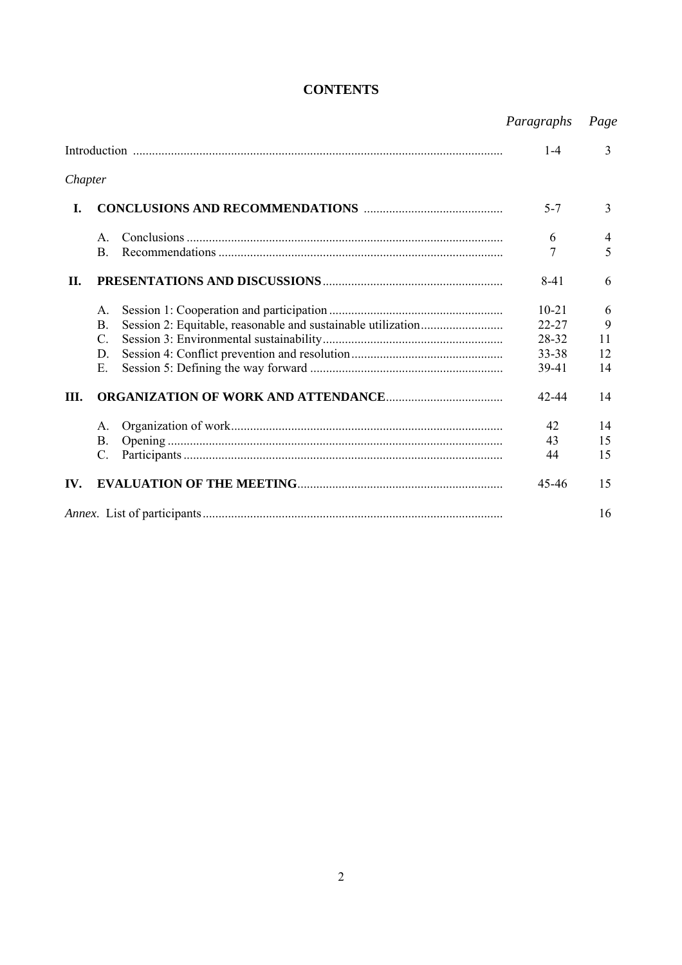|         |                 |  | Paragraphs | Page |
|---------|-----------------|--|------------|------|
|         |                 |  | $1 - 4$    | 3    |
| Chapter |                 |  |            |      |
| I.      |                 |  | $5 - 7$    | 3    |
|         | $A_{\cdot}$     |  | 6          | 4    |
|         | <b>B.</b>       |  | 7          | 5    |
| II.     |                 |  | $8 - 41$   | 6    |
|         | $A_{\cdot}$     |  | $10 - 21$  | 6    |
|         | $\mathbf{B}$ .  |  | 22-27      | 9    |
|         | $C_{\cdot}$     |  | 28-32      | 11   |
|         | D.              |  | 33-38      | 12   |
|         | Ε.              |  | 39-41      | 14   |
| Ш.      |                 |  | 42-44      | 14   |
|         | A.              |  | 42         | 14   |
|         | B.              |  | 43         | 15   |
|         | $\mathcal{C}$ . |  | 44         | 15   |
| IV.     |                 |  | 45-46      | 15   |
|         |                 |  | 16         |      |

# **CONTENTS**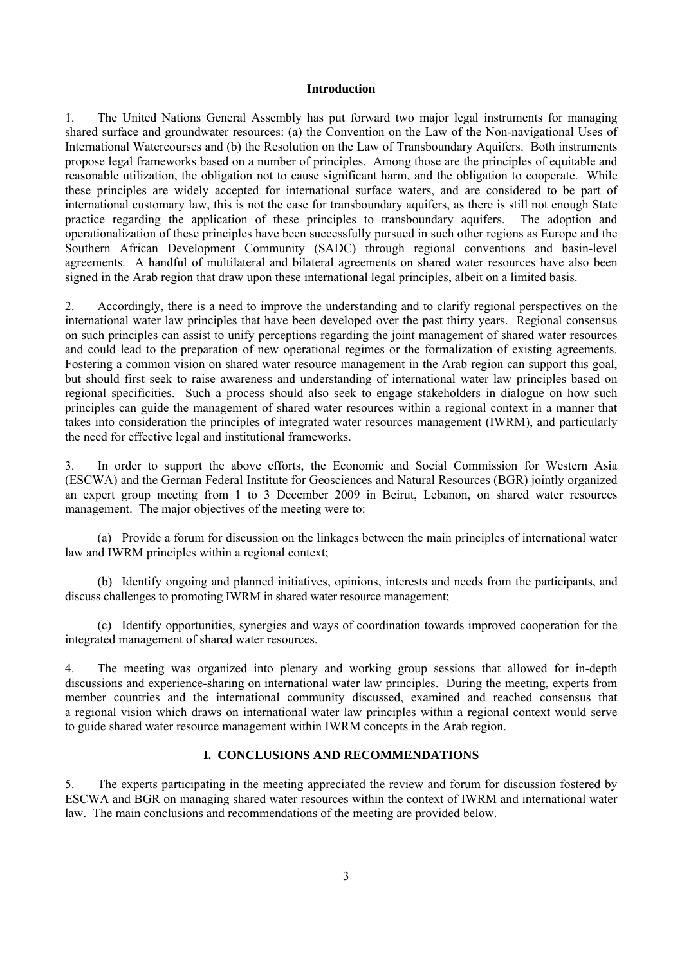#### **Introduction**

1. The United Nations General Assembly has put forward two major legal instruments for managing shared surface and groundwater resources: (a) the Convention on the Law of the Non-navigational Uses of International Watercourses and (b) the Resolution on the Law of Transboundary Aquifers. Both instruments propose legal frameworks based on a number of principles. Among those are the principles of equitable and reasonable utilization, the obligation not to cause significant harm, and the obligation to cooperate. While these principles are widely accepted for international surface waters, and are considered to be part of international customary law, this is not the case for transboundary aquifers, as there is still not enough State practice regarding the application of these principles to transboundary aquifers. The adoption and operationalization of these principles have been successfully pursued in such other regions as Europe and the Southern African Development Community (SADC) through regional conventions and basin-level agreements. A handful of multilateral and bilateral agreements on shared water resources have also been signed in the Arab region that draw upon these international legal principles, albeit on a limited basis.

2. Accordingly, there is a need to improve the understanding and to clarify regional perspectives on the international water law principles that have been developed over the past thirty years. Regional consensus on such principles can assist to unify perceptions regarding the joint management of shared water resources and could lead to the preparation of new operational regimes or the formalization of existing agreements. Fostering a common vision on shared water resource management in the Arab region can support this goal, but should first seek to raise awareness and understanding of international water law principles based on regional specificities. Such a process should also seek to engage stakeholders in dialogue on how such principles can guide the management of shared water resources within a regional context in a manner that takes into consideration the principles of integrated water resources management (IWRM), and particularly the need for effective legal and institutional frameworks.

3. In order to support the above efforts, the Economic and Social Commission for Western Asia (ESCWA) and the German Federal Institute for Geosciences and Natural Resources (BGR) jointly organized an expert group meeting from 1 to 3 December 2009 in Beirut, Lebanon, on shared water resources management. The major objectives of the meeting were to:

 (a) Provide a forum for discussion on the linkages between the main principles of international water law and IWRM principles within a regional context;

 (b) Identify ongoing and planned initiatives, opinions, interests and needs from the participants, and discuss challenges to promoting IWRM in shared water resource management;

 (c) Identify opportunities, synergies and ways of coordination towards improved cooperation for the integrated management of shared water resources.

4. The meeting was organized into plenary and working group sessions that allowed for in-depth discussions and experience-sharing on international water law principles. During the meeting, experts from member countries and the international community discussed, examined and reached consensus that a regional vision which draws on international water law principles within a regional context would serve to guide shared water resource management within IWRM concepts in the Arab region.

#### **I. CONCLUSIONS AND RECOMMENDATIONS**

5. The experts participating in the meeting appreciated the review and forum for discussion fostered by ESCWA and BGR on managing shared water resources within the context of IWRM and international water law. The main conclusions and recommendations of the meeting are provided below.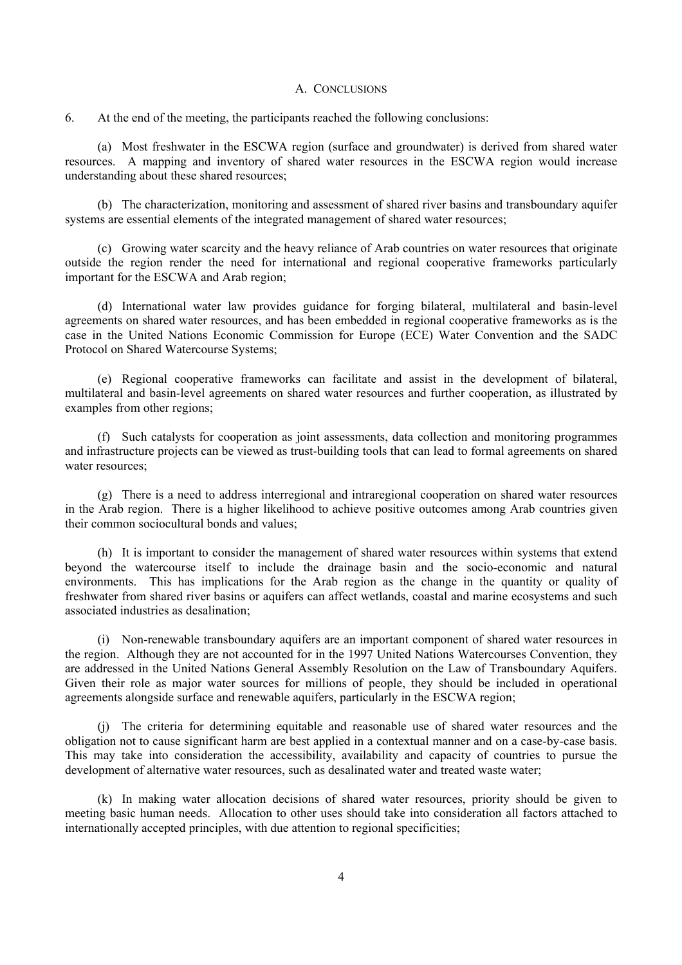#### A. CONCLUSIONS

6. At the end of the meeting, the participants reached the following conclusions:

 (a) Most freshwater in the ESCWA region (surface and groundwater) is derived from shared water resources. A mapping and inventory of shared water resources in the ESCWA region would increase understanding about these shared resources;

 (b) The characterization, monitoring and assessment of shared river basins and transboundary aquifer systems are essential elements of the integrated management of shared water resources;

 (c) Growing water scarcity and the heavy reliance of Arab countries on water resources that originate outside the region render the need for international and regional cooperative frameworks particularly important for the ESCWA and Arab region;

 (d) International water law provides guidance for forging bilateral, multilateral and basin-level agreements on shared water resources, and has been embedded in regional cooperative frameworks as is the case in the United Nations Economic Commission for Europe (ECE) Water Convention and the SADC Protocol on Shared Watercourse Systems;

 (e) Regional cooperative frameworks can facilitate and assist in the development of bilateral, multilateral and basin-level agreements on shared water resources and further cooperation, as illustrated by examples from other regions;

 (f) Such catalysts for cooperation as joint assessments, data collection and monitoring programmes and infrastructure projects can be viewed as trust-building tools that can lead to formal agreements on shared water resources;

 (g) There is a need to address interregional and intraregional cooperation on shared water resources in the Arab region. There is a higher likelihood to achieve positive outcomes among Arab countries given their common sociocultural bonds and values;

 (h) It is important to consider the management of shared water resources within systems that extend beyond the watercourse itself to include the drainage basin and the socio-economic and natural environments. This has implications for the Arab region as the change in the quantity or quality of freshwater from shared river basins or aquifers can affect wetlands, coastal and marine ecosystems and such associated industries as desalination;

 (i) Non-renewable transboundary aquifers are an important component of shared water resources in the region. Although they are not accounted for in the 1997 United Nations Watercourses Convention, they are addressed in the United Nations General Assembly Resolution on the Law of Transboundary Aquifers. Given their role as major water sources for millions of people, they should be included in operational agreements alongside surface and renewable aquifers, particularly in the ESCWA region;

 (j) The criteria for determining equitable and reasonable use of shared water resources and the obligation not to cause significant harm are best applied in a contextual manner and on a case-by-case basis. This may take into consideration the accessibility, availability and capacity of countries to pursue the development of alternative water resources, such as desalinated water and treated waste water;

 (k) In making water allocation decisions of shared water resources, priority should be given to meeting basic human needs. Allocation to other uses should take into consideration all factors attached to internationally accepted principles, with due attention to regional specificities;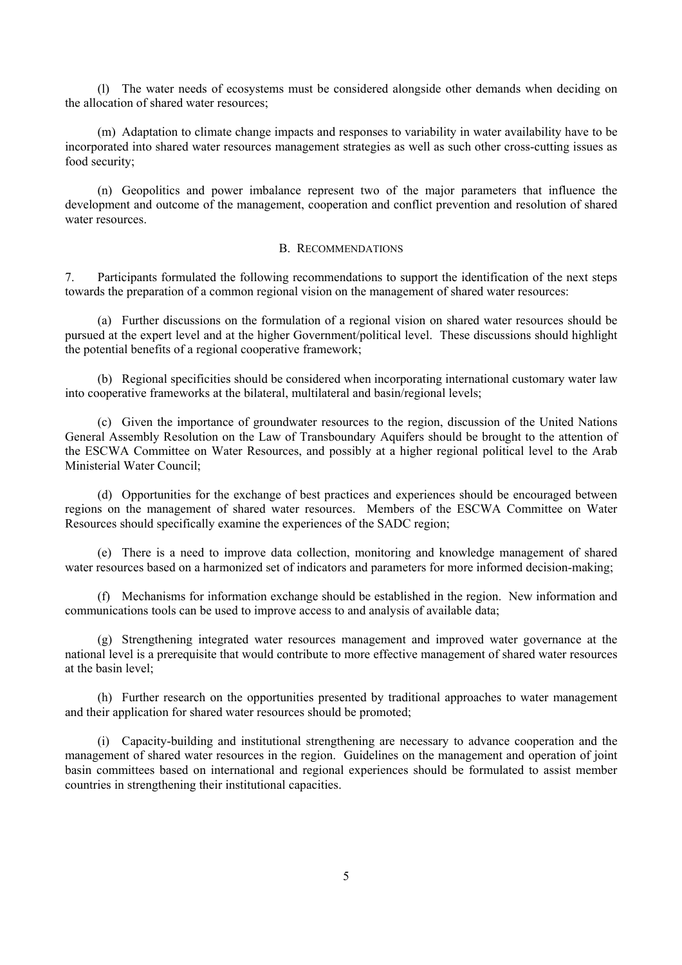(l) The water needs of ecosystems must be considered alongside other demands when deciding on the allocation of shared water resources;

 (m) Adaptation to climate change impacts and responses to variability in water availability have to be incorporated into shared water resources management strategies as well as such other cross-cutting issues as food security;

 (n) Geopolitics and power imbalance represent two of the major parameters that influence the development and outcome of the management, cooperation and conflict prevention and resolution of shared water resources.

#### B. RECOMMENDATIONS

7. Participants formulated the following recommendations to support the identification of the next steps towards the preparation of a common regional vision on the management of shared water resources:

 (a) Further discussions on the formulation of a regional vision on shared water resources should be pursued at the expert level and at the higher Government/political level. These discussions should highlight the potential benefits of a regional cooperative framework;

 (b) Regional specificities should be considered when incorporating international customary water law into cooperative frameworks at the bilateral, multilateral and basin/regional levels;

 (c) Given the importance of groundwater resources to the region, discussion of the United Nations General Assembly Resolution on the Law of Transboundary Aquifers should be brought to the attention of the ESCWA Committee on Water Resources, and possibly at a higher regional political level to the Arab Ministerial Water Council;

 (d) Opportunities for the exchange of best practices and experiences should be encouraged between regions on the management of shared water resources. Members of the ESCWA Committee on Water Resources should specifically examine the experiences of the SADC region;

 (e) There is a need to improve data collection, monitoring and knowledge management of shared water resources based on a harmonized set of indicators and parameters for more informed decision-making;

 (f) Mechanisms for information exchange should be established in the region. New information and communications tools can be used to improve access to and analysis of available data;

 (g) Strengthening integrated water resources management and improved water governance at the national level is a prerequisite that would contribute to more effective management of shared water resources at the basin level;

 (h) Further research on the opportunities presented by traditional approaches to water management and their application for shared water resources should be promoted;

 (i) Capacity-building and institutional strengthening are necessary to advance cooperation and the management of shared water resources in the region. Guidelines on the management and operation of joint basin committees based on international and regional experiences should be formulated to assist member countries in strengthening their institutional capacities.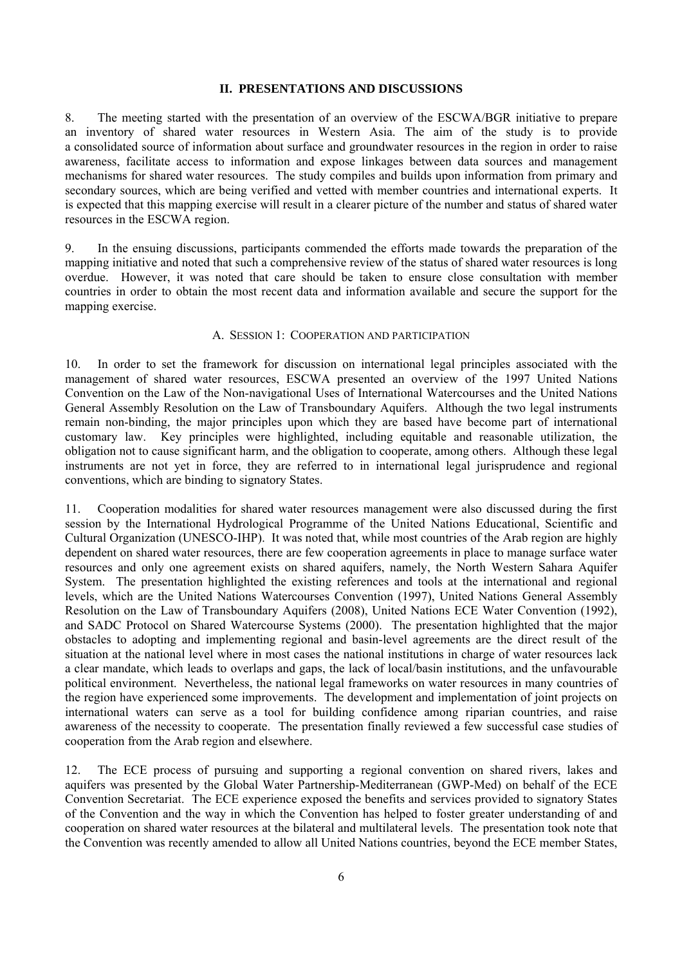# **II. PRESENTATIONS AND DISCUSSIONS**

8. The meeting started with the presentation of an overview of the ESCWA/BGR initiative to prepare an inventory of shared water resources in Western Asia. The aim of the study is to provide a consolidated source of information about surface and groundwater resources in the region in order to raise awareness, facilitate access to information and expose linkages between data sources and management mechanisms for shared water resources. The study compiles and builds upon information from primary and secondary sources, which are being verified and vetted with member countries and international experts. It is expected that this mapping exercise will result in a clearer picture of the number and status of shared water resources in the ESCWA region.

9. In the ensuing discussions, participants commended the efforts made towards the preparation of the mapping initiative and noted that such a comprehensive review of the status of shared water resources is long overdue. However, it was noted that care should be taken to ensure close consultation with member countries in order to obtain the most recent data and information available and secure the support for the mapping exercise.

### A. SESSION 1: COOPERATION AND PARTICIPATION

10. In order to set the framework for discussion on international legal principles associated with the management of shared water resources, ESCWA presented an overview of the 1997 United Nations Convention on the Law of the Non-navigational Uses of International Watercourses and the United Nations General Assembly Resolution on the Law of Transboundary Aquifers. Although the two legal instruments remain non-binding, the major principles upon which they are based have become part of international customary law. Key principles were highlighted, including equitable and reasonable utilization, the obligation not to cause significant harm, and the obligation to cooperate, among others. Although these legal instruments are not yet in force, they are referred to in international legal jurisprudence and regional conventions, which are binding to signatory States.

11. Cooperation modalities for shared water resources management were also discussed during the first session by the International Hydrological Programme of the United Nations Educational, Scientific and Cultural Organization (UNESCO-IHP). It was noted that, while most countries of the Arab region are highly dependent on shared water resources, there are few cooperation agreements in place to manage surface water resources and only one agreement exists on shared aquifers, namely, the North Western Sahara Aquifer System. The presentation highlighted the existing references and tools at the international and regional levels, which are the United Nations Watercourses Convention (1997), United Nations General Assembly Resolution on the Law of Transboundary Aquifers (2008), United Nations ECE Water Convention (1992), and SADC Protocol on Shared Watercourse Systems (2000). The presentation highlighted that the major obstacles to adopting and implementing regional and basin-level agreements are the direct result of the situation at the national level where in most cases the national institutions in charge of water resources lack a clear mandate, which leads to overlaps and gaps, the lack of local/basin institutions, and the unfavourable political environment. Nevertheless, the national legal frameworks on water resources in many countries of the region have experienced some improvements. The development and implementation of joint projects on international waters can serve as a tool for building confidence among riparian countries, and raise awareness of the necessity to cooperate. The presentation finally reviewed a few successful case studies of cooperation from the Arab region and elsewhere.

12. The ECE process of pursuing and supporting a regional convention on shared rivers, lakes and aquifers was presented by the Global Water Partnership-Mediterranean (GWP-Med) on behalf of the ECE Convention Secretariat. The ECE experience exposed the benefits and services provided to signatory States of the Convention and the way in which the Convention has helped to foster greater understanding of and cooperation on shared water resources at the bilateral and multilateral levels. The presentation took note that the Convention was recently amended to allow all United Nations countries, beyond the ECE member States,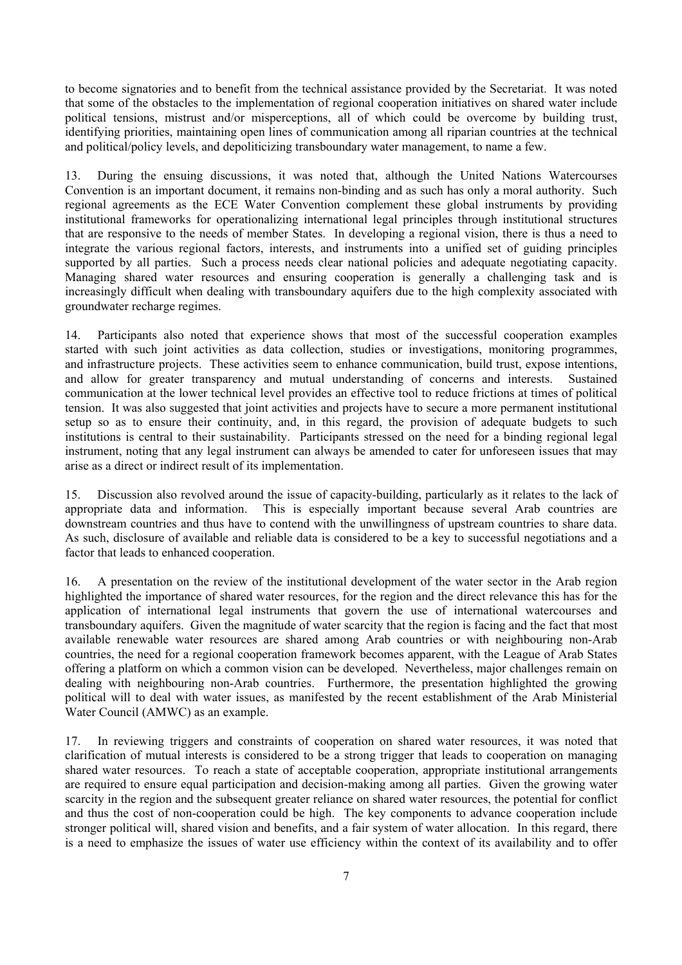to become signatories and to benefit from the technical assistance provided by the Secretariat. It was noted that some of the obstacles to the implementation of regional cooperation initiatives on shared water include political tensions, mistrust and/or misperceptions, all of which could be overcome by building trust, identifying priorities, maintaining open lines of communication among all riparian countries at the technical and political/policy levels, and depoliticizing transboundary water management, to name a few.

13. During the ensuing discussions, it was noted that, although the United Nations Watercourses Convention is an important document, it remains non-binding and as such has only a moral authority. Such regional agreements as the ECE Water Convention complement these global instruments by providing institutional frameworks for operationalizing international legal principles through institutional structures that are responsive to the needs of member States. In developing a regional vision, there is thus a need to integrate the various regional factors, interests, and instruments into a unified set of guiding principles supported by all parties. Such a process needs clear national policies and adequate negotiating capacity. Managing shared water resources and ensuring cooperation is generally a challenging task and is increasingly difficult when dealing with transboundary aquifers due to the high complexity associated with groundwater recharge regimes.

14. Participants also noted that experience shows that most of the successful cooperation examples started with such joint activities as data collection, studies or investigations, monitoring programmes, and infrastructure projects. These activities seem to enhance communication, build trust, expose intentions, and allow for greater transparency and mutual understanding of concerns and interests. Sustained communication at the lower technical level provides an effective tool to reduce frictions at times of political tension. It was also suggested that joint activities and projects have to secure a more permanent institutional setup so as to ensure their continuity, and, in this regard, the provision of adequate budgets to such institutions is central to their sustainability. Participants stressed on the need for a binding regional legal instrument, noting that any legal instrument can always be amended to cater for unforeseen issues that may arise as a direct or indirect result of its implementation.

15. Discussion also revolved around the issue of capacity-building, particularly as it relates to the lack of appropriate data and information. This is especially important because several Arab countries are downstream countries and thus have to contend with the unwillingness of upstream countries to share data. As such, disclosure of available and reliable data is considered to be a key to successful negotiations and a factor that leads to enhanced cooperation.

16. A presentation on the review of the institutional development of the water sector in the Arab region highlighted the importance of shared water resources, for the region and the direct relevance this has for the application of international legal instruments that govern the use of international watercourses and transboundary aquifers. Given the magnitude of water scarcity that the region is facing and the fact that most available renewable water resources are shared among Arab countries or with neighbouring non-Arab countries, the need for a regional cooperation framework becomes apparent, with the League of Arab States offering a platform on which a common vision can be developed. Nevertheless, major challenges remain on dealing with neighbouring non-Arab countries. Furthermore, the presentation highlighted the growing political will to deal with water issues, as manifested by the recent establishment of the Arab Ministerial Water Council (AMWC) as an example.

17. In reviewing triggers and constraints of cooperation on shared water resources, it was noted that clarification of mutual interests is considered to be a strong trigger that leads to cooperation on managing shared water resources. To reach a state of acceptable cooperation, appropriate institutional arrangements are required to ensure equal participation and decision-making among all parties. Given the growing water scarcity in the region and the subsequent greater reliance on shared water resources, the potential for conflict and thus the cost of non-cooperation could be high. The key components to advance cooperation include stronger political will, shared vision and benefits, and a fair system of water allocation. In this regard, there is a need to emphasize the issues of water use efficiency within the context of its availability and to offer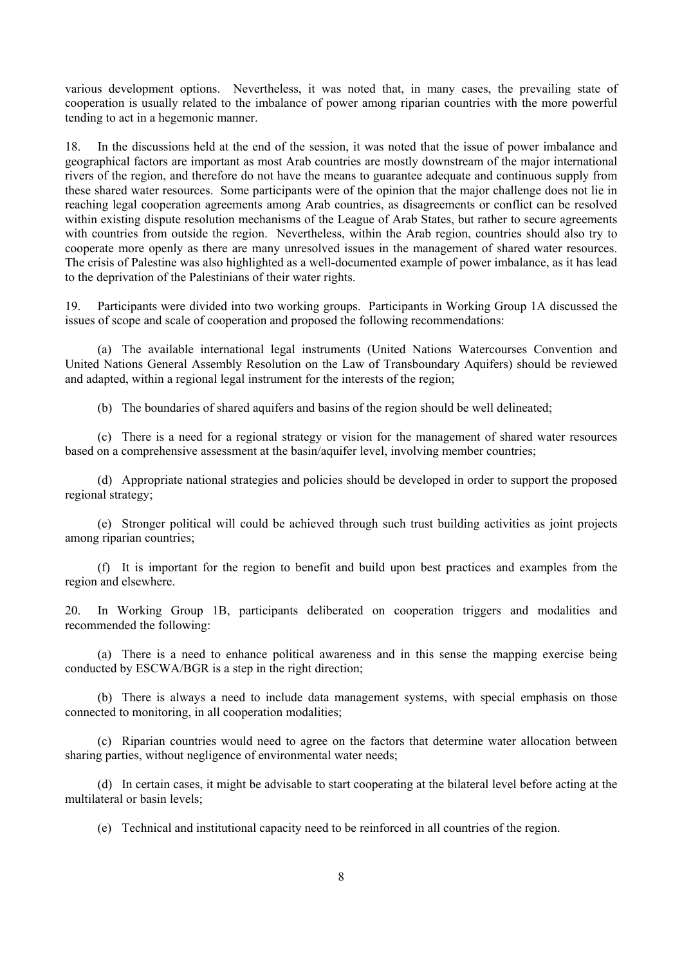various development options. Nevertheless, it was noted that, in many cases, the prevailing state of cooperation is usually related to the imbalance of power among riparian countries with the more powerful tending to act in a hegemonic manner.

18. In the discussions held at the end of the session, it was noted that the issue of power imbalance and geographical factors are important as most Arab countries are mostly downstream of the major international rivers of the region, and therefore do not have the means to guarantee adequate and continuous supply from these shared water resources. Some participants were of the opinion that the major challenge does not lie in reaching legal cooperation agreements among Arab countries, as disagreements or conflict can be resolved within existing dispute resolution mechanisms of the League of Arab States, but rather to secure agreements with countries from outside the region. Nevertheless, within the Arab region, countries should also try to cooperate more openly as there are many unresolved issues in the management of shared water resources. The crisis of Palestine was also highlighted as a well-documented example of power imbalance, as it has lead to the deprivation of the Palestinians of their water rights.

19. Participants were divided into two working groups. Participants in Working Group 1A discussed the issues of scope and scale of cooperation and proposed the following recommendations:

 (a) The available international legal instruments (United Nations Watercourses Convention and United Nations General Assembly Resolution on the Law of Transboundary Aquifers) should be reviewed and adapted, within a regional legal instrument for the interests of the region;

(b) The boundaries of shared aquifers and basins of the region should be well delineated;

 (c) There is a need for a regional strategy or vision for the management of shared water resources based on a comprehensive assessment at the basin/aquifer level, involving member countries;

 (d) Appropriate national strategies and policies should be developed in order to support the proposed regional strategy;

 (e) Stronger political will could be achieved through such trust building activities as joint projects among riparian countries;

 (f) It is important for the region to benefit and build upon best practices and examples from the region and elsewhere.

20. In Working Group 1B, participants deliberated on cooperation triggers and modalities and recommended the following:

 (a) There is a need to enhance political awareness and in this sense the mapping exercise being conducted by ESCWA/BGR is a step in the right direction;

 (b) There is always a need to include data management systems, with special emphasis on those connected to monitoring, in all cooperation modalities;

 (c) Riparian countries would need to agree on the factors that determine water allocation between sharing parties, without negligence of environmental water needs;

 (d) In certain cases, it might be advisable to start cooperating at the bilateral level before acting at the multilateral or basin levels;

(e) Technical and institutional capacity need to be reinforced in all countries of the region.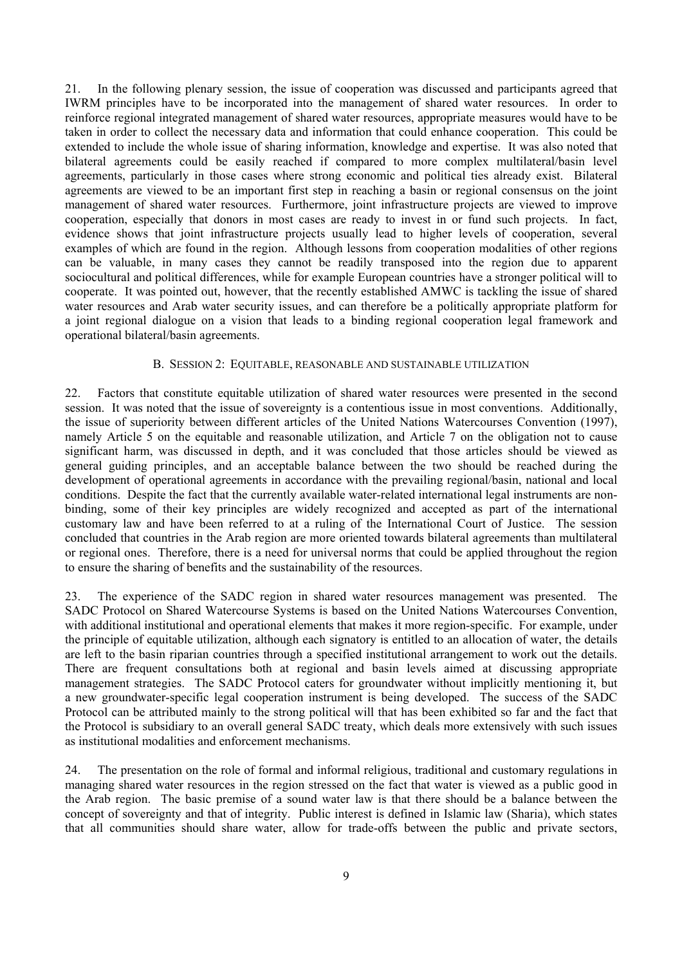21. In the following plenary session, the issue of cooperation was discussed and participants agreed that IWRM principles have to be incorporated into the management of shared water resources. In order to reinforce regional integrated management of shared water resources, appropriate measures would have to be taken in order to collect the necessary data and information that could enhance cooperation. This could be extended to include the whole issue of sharing information, knowledge and expertise. It was also noted that bilateral agreements could be easily reached if compared to more complex multilateral/basin level agreements, particularly in those cases where strong economic and political ties already exist. Bilateral agreements are viewed to be an important first step in reaching a basin or regional consensus on the joint management of shared water resources. Furthermore, joint infrastructure projects are viewed to improve cooperation, especially that donors in most cases are ready to invest in or fund such projects. In fact, evidence shows that joint infrastructure projects usually lead to higher levels of cooperation, several examples of which are found in the region. Although lessons from cooperation modalities of other regions can be valuable, in many cases they cannot be readily transposed into the region due to apparent sociocultural and political differences, while for example European countries have a stronger political will to cooperate. It was pointed out, however, that the recently established AMWC is tackling the issue of shared water resources and Arab water security issues, and can therefore be a politically appropriate platform for a joint regional dialogue on a vision that leads to a binding regional cooperation legal framework and operational bilateral/basin agreements.

#### B. SESSION 2: EQUITABLE, REASONABLE AND SUSTAINABLE UTILIZATION

22. Factors that constitute equitable utilization of shared water resources were presented in the second session. It was noted that the issue of sovereignty is a contentious issue in most conventions. Additionally, the issue of superiority between different articles of the United Nations Watercourses Convention (1997), namely Article 5 on the equitable and reasonable utilization, and Article 7 on the obligation not to cause significant harm, was discussed in depth, and it was concluded that those articles should be viewed as general guiding principles, and an acceptable balance between the two should be reached during the development of operational agreements in accordance with the prevailing regional/basin, national and local conditions. Despite the fact that the currently available water-related international legal instruments are nonbinding, some of their key principles are widely recognized and accepted as part of the international customary law and have been referred to at a ruling of the International Court of Justice. The session concluded that countries in the Arab region are more oriented towards bilateral agreements than multilateral or regional ones. Therefore, there is a need for universal norms that could be applied throughout the region to ensure the sharing of benefits and the sustainability of the resources.

23. The experience of the SADC region in shared water resources management was presented. The SADC Protocol on Shared Watercourse Systems is based on the United Nations Watercourses Convention, with additional institutional and operational elements that makes it more region-specific. For example, under the principle of equitable utilization, although each signatory is entitled to an allocation of water, the details are left to the basin riparian countries through a specified institutional arrangement to work out the details. There are frequent consultations both at regional and basin levels aimed at discussing appropriate management strategies. The SADC Protocol caters for groundwater without implicitly mentioning it, but a new groundwater-specific legal cooperation instrument is being developed. The success of the SADC Protocol can be attributed mainly to the strong political will that has been exhibited so far and the fact that the Protocol is subsidiary to an overall general SADC treaty, which deals more extensively with such issues as institutional modalities and enforcement mechanisms.

24. The presentation on the role of formal and informal religious, traditional and customary regulations in managing shared water resources in the region stressed on the fact that water is viewed as a public good in the Arab region. The basic premise of a sound water law is that there should be a balance between the concept of sovereignty and that of integrity. Public interest is defined in Islamic law (Sharia), which states that all communities should share water, allow for trade-offs between the public and private sectors,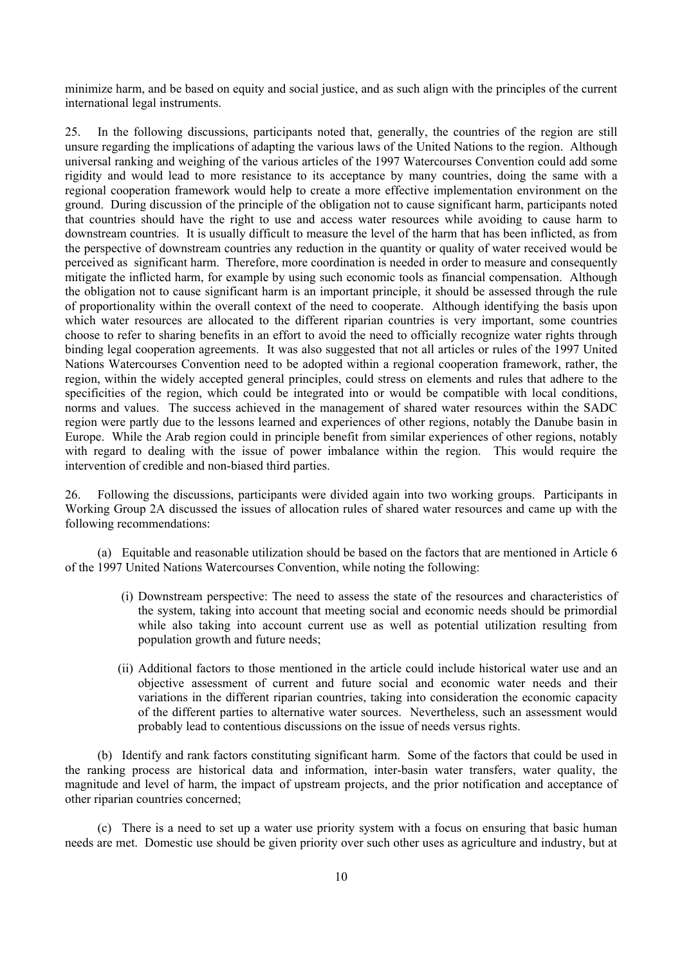minimize harm, and be based on equity and social justice, and as such align with the principles of the current international legal instruments.

25. In the following discussions, participants noted that, generally, the countries of the region are still unsure regarding the implications of adapting the various laws of the United Nations to the region. Although universal ranking and weighing of the various articles of the 1997 Watercourses Convention could add some rigidity and would lead to more resistance to its acceptance by many countries, doing the same with a regional cooperation framework would help to create a more effective implementation environment on the ground. During discussion of the principle of the obligation not to cause significant harm, participants noted that countries should have the right to use and access water resources while avoiding to cause harm to downstream countries. It is usually difficult to measure the level of the harm that has been inflicted, as from the perspective of downstream countries any reduction in the quantity or quality of water received would be perceived as significant harm. Therefore, more coordination is needed in order to measure and consequently mitigate the inflicted harm, for example by using such economic tools as financial compensation. Although the obligation not to cause significant harm is an important principle, it should be assessed through the rule of proportionality within the overall context of the need to cooperate. Although identifying the basis upon which water resources are allocated to the different riparian countries is very important, some countries choose to refer to sharing benefits in an effort to avoid the need to officially recognize water rights through binding legal cooperation agreements. It was also suggested that not all articles or rules of the 1997 United Nations Watercourses Convention need to be adopted within a regional cooperation framework, rather, the region, within the widely accepted general principles, could stress on elements and rules that adhere to the specificities of the region, which could be integrated into or would be compatible with local conditions, norms and values. The success achieved in the management of shared water resources within the SADC region were partly due to the lessons learned and experiences of other regions, notably the Danube basin in Europe. While the Arab region could in principle benefit from similar experiences of other regions, notably with regard to dealing with the issue of power imbalance within the region. This would require the intervention of credible and non-biased third parties.

26. Following the discussions, participants were divided again into two working groups. Participants in Working Group 2A discussed the issues of allocation rules of shared water resources and came up with the following recommendations:

 (a) Equitable and reasonable utilization should be based on the factors that are mentioned in Article 6 of the 1997 United Nations Watercourses Convention, while noting the following:

- (i) Downstream perspective: The need to assess the state of the resources and characteristics of the system, taking into account that meeting social and economic needs should be primordial while also taking into account current use as well as potential utilization resulting from population growth and future needs;
- (ii) Additional factors to those mentioned in the article could include historical water use and an objective assessment of current and future social and economic water needs and their variations in the different riparian countries, taking into consideration the economic capacity of the different parties to alternative water sources. Nevertheless, such an assessment would probably lead to contentious discussions on the issue of needs versus rights.

 (b) Identify and rank factors constituting significant harm. Some of the factors that could be used in the ranking process are historical data and information, inter-basin water transfers, water quality, the magnitude and level of harm, the impact of upstream projects, and the prior notification and acceptance of other riparian countries concerned;

 (c) There is a need to set up a water use priority system with a focus on ensuring that basic human needs are met. Domestic use should be given priority over such other uses as agriculture and industry, but at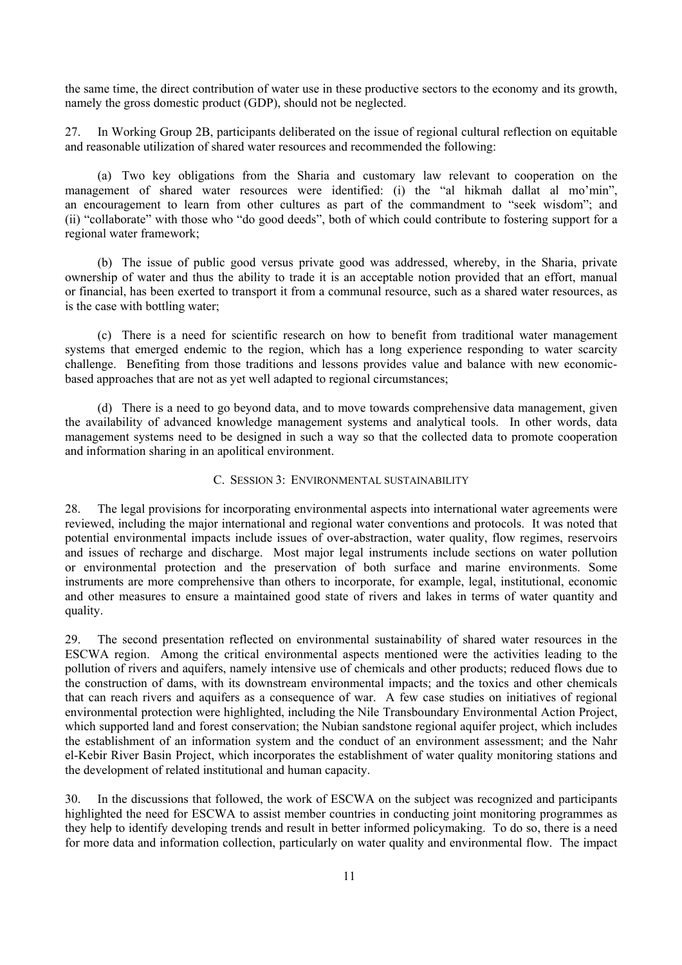the same time, the direct contribution of water use in these productive sectors to the economy and its growth, namely the gross domestic product (GDP), should not be neglected.

27. In Working Group 2B, participants deliberated on the issue of regional cultural reflection on equitable and reasonable utilization of shared water resources and recommended the following:

 (a) Two key obligations from the Sharia and customary law relevant to cooperation on the management of shared water resources were identified: (i) the "al hikmah dallat al mo'min", an encouragement to learn from other cultures as part of the commandment to "seek wisdom"; and (ii) "collaborate" with those who "do good deeds", both of which could contribute to fostering support for a regional water framework;

 (b) The issue of public good versus private good was addressed, whereby, in the Sharia, private ownership of water and thus the ability to trade it is an acceptable notion provided that an effort, manual or financial, has been exerted to transport it from a communal resource, such as a shared water resources, as is the case with bottling water;

 (c) There is a need for scientific research on how to benefit from traditional water management systems that emerged endemic to the region, which has a long experience responding to water scarcity challenge. Benefiting from those traditions and lessons provides value and balance with new economicbased approaches that are not as yet well adapted to regional circumstances;

 (d) There is a need to go beyond data, and to move towards comprehensive data management, given the availability of advanced knowledge management systems and analytical tools. In other words, data management systems need to be designed in such a way so that the collected data to promote cooperation and information sharing in an apolitical environment.

#### C. SESSION 3: ENVIRONMENTAL SUSTAINABILITY

28. The legal provisions for incorporating environmental aspects into international water agreements were reviewed, including the major international and regional water conventions and protocols. It was noted that potential environmental impacts include issues of over-abstraction, water quality, flow regimes, reservoirs and issues of recharge and discharge. Most major legal instruments include sections on water pollution or environmental protection and the preservation of both surface and marine environments. Some instruments are more comprehensive than others to incorporate, for example, legal, institutional, economic and other measures to ensure a maintained good state of rivers and lakes in terms of water quantity and quality.

29. The second presentation reflected on environmental sustainability of shared water resources in the ESCWA region. Among the critical environmental aspects mentioned were the activities leading to the pollution of rivers and aquifers, namely intensive use of chemicals and other products; reduced flows due to the construction of dams, with its downstream environmental impacts; and the toxics and other chemicals that can reach rivers and aquifers as a consequence of war. A few case studies on initiatives of regional environmental protection were highlighted, including the Nile Transboundary Environmental Action Project, which supported land and forest conservation; the Nubian sandstone regional aquifer project, which includes the establishment of an information system and the conduct of an environment assessment; and the Nahr el-Kebir River Basin Project, which incorporates the establishment of water quality monitoring stations and the development of related institutional and human capacity.

30. In the discussions that followed, the work of ESCWA on the subject was recognized and participants highlighted the need for ESCWA to assist member countries in conducting joint monitoring programmes as they help to identify developing trends and result in better informed policymaking. To do so, there is a need for more data and information collection, particularly on water quality and environmental flow. The impact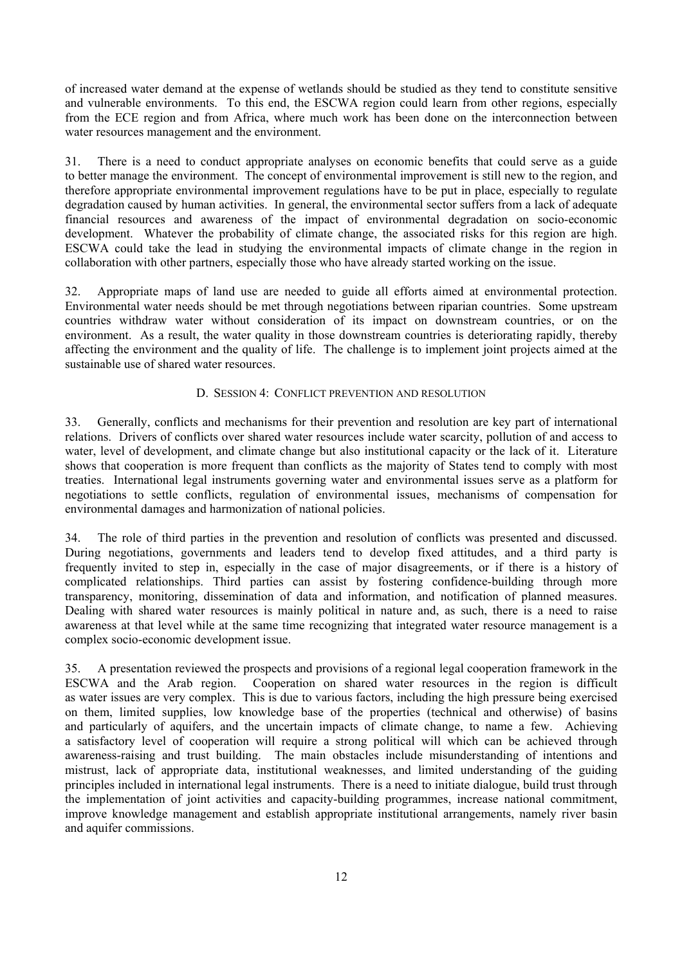of increased water demand at the expense of wetlands should be studied as they tend to constitute sensitive and vulnerable environments. To this end, the ESCWA region could learn from other regions, especially from the ECE region and from Africa, where much work has been done on the interconnection between water resources management and the environment.

31. There is a need to conduct appropriate analyses on economic benefits that could serve as a guide to better manage the environment. The concept of environmental improvement is still new to the region, and therefore appropriate environmental improvement regulations have to be put in place, especially to regulate degradation caused by human activities. In general, the environmental sector suffers from a lack of adequate financial resources and awareness of the impact of environmental degradation on socio-economic development. Whatever the probability of climate change, the associated risks for this region are high. ESCWA could take the lead in studying the environmental impacts of climate change in the region in collaboration with other partners, especially those who have already started working on the issue.

32. Appropriate maps of land use are needed to guide all efforts aimed at environmental protection. Environmental water needs should be met through negotiations between riparian countries. Some upstream countries withdraw water without consideration of its impact on downstream countries, or on the environment. As a result, the water quality in those downstream countries is deteriorating rapidly, thereby affecting the environment and the quality of life. The challenge is to implement joint projects aimed at the sustainable use of shared water resources.

#### D. SESSION 4: CONFLICT PREVENTION AND RESOLUTION

33. Generally, conflicts and mechanisms for their prevention and resolution are key part of international relations. Drivers of conflicts over shared water resources include water scarcity, pollution of and access to water, level of development, and climate change but also institutional capacity or the lack of it. Literature shows that cooperation is more frequent than conflicts as the majority of States tend to comply with most treaties. International legal instruments governing water and environmental issues serve as a platform for negotiations to settle conflicts, regulation of environmental issues, mechanisms of compensation for environmental damages and harmonization of national policies.

34. The role of third parties in the prevention and resolution of conflicts was presented and discussed. During negotiations, governments and leaders tend to develop fixed attitudes, and a third party is frequently invited to step in, especially in the case of major disagreements, or if there is a history of complicated relationships. Third parties can assist by fostering confidence-building through more transparency, monitoring, dissemination of data and information, and notification of planned measures. Dealing with shared water resources is mainly political in nature and, as such, there is a need to raise awareness at that level while at the same time recognizing that integrated water resource management is a complex socio-economic development issue.

35. A presentation reviewed the prospects and provisions of a regional legal cooperation framework in the ESCWA and the Arab region. Cooperation on shared water resources in the region is difficult as water issues are very complex. This is due to various factors, including the high pressure being exercised on them, limited supplies, low knowledge base of the properties (technical and otherwise) of basins and particularly of aquifers, and the uncertain impacts of climate change, to name a few. Achieving a satisfactory level of cooperation will require a strong political will which can be achieved through awareness-raising and trust building. The main obstacles include misunderstanding of intentions and mistrust, lack of appropriate data, institutional weaknesses, and limited understanding of the guiding principles included in international legal instruments. There is a need to initiate dialogue, build trust through the implementation of joint activities and capacity-building programmes, increase national commitment, improve knowledge management and establish appropriate institutional arrangements, namely river basin and aquifer commissions.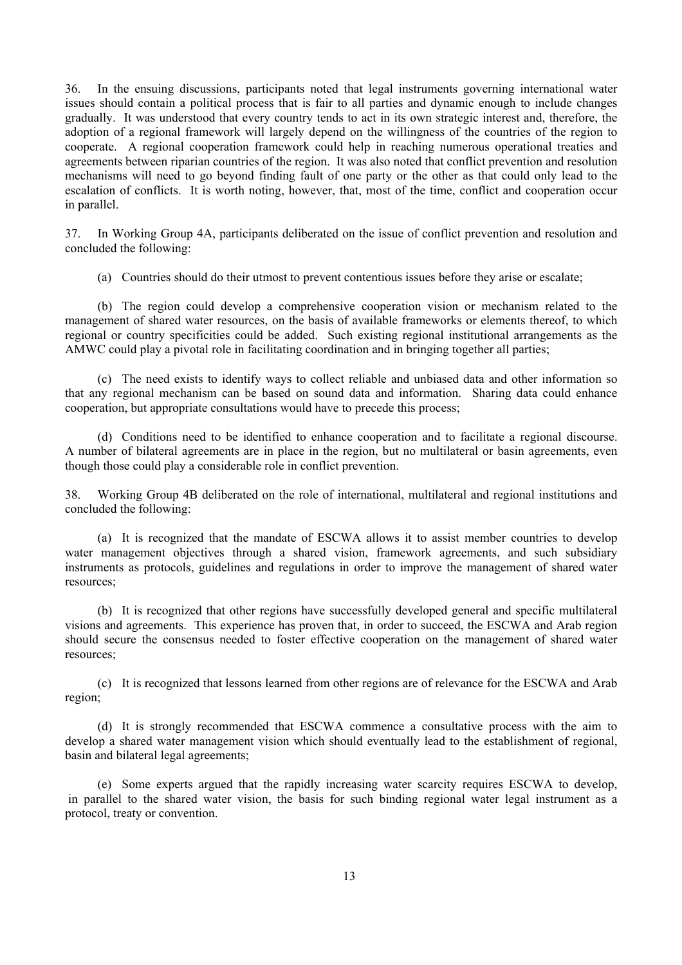36. In the ensuing discussions, participants noted that legal instruments governing international water issues should contain a political process that is fair to all parties and dynamic enough to include changes gradually. It was understood that every country tends to act in its own strategic interest and, therefore, the adoption of a regional framework will largely depend on the willingness of the countries of the region to cooperate. A regional cooperation framework could help in reaching numerous operational treaties and agreements between riparian countries of the region. It was also noted that conflict prevention and resolution mechanisms will need to go beyond finding fault of one party or the other as that could only lead to the escalation of conflicts. It is worth noting, however, that, most of the time, conflict and cooperation occur in parallel.

37. In Working Group 4A, participants deliberated on the issue of conflict prevention and resolution and concluded the following:

(a) Countries should do their utmost to prevent contentious issues before they arise or escalate;

 (b) The region could develop a comprehensive cooperation vision or mechanism related to the management of shared water resources, on the basis of available frameworks or elements thereof, to which regional or country specificities could be added. Such existing regional institutional arrangements as the AMWC could play a pivotal role in facilitating coordination and in bringing together all parties;

 (c) The need exists to identify ways to collect reliable and unbiased data and other information so that any regional mechanism can be based on sound data and information. Sharing data could enhance cooperation, but appropriate consultations would have to precede this process;

 (d) Conditions need to be identified to enhance cooperation and to facilitate a regional discourse. A number of bilateral agreements are in place in the region, but no multilateral or basin agreements, even though those could play a considerable role in conflict prevention.

38. Working Group 4B deliberated on the role of international, multilateral and regional institutions and concluded the following:

 (a) It is recognized that the mandate of ESCWA allows it to assist member countries to develop water management objectives through a shared vision, framework agreements, and such subsidiary instruments as protocols, guidelines and regulations in order to improve the management of shared water resources;

 (b) It is recognized that other regions have successfully developed general and specific multilateral visions and agreements. This experience has proven that, in order to succeed, the ESCWA and Arab region should secure the consensus needed to foster effective cooperation on the management of shared water resources;

 (c) It is recognized that lessons learned from other regions are of relevance for the ESCWA and Arab region;

 (d) It is strongly recommended that ESCWA commence a consultative process with the aim to develop a shared water management vision which should eventually lead to the establishment of regional, basin and bilateral legal agreements;

 (e) Some experts argued that the rapidly increasing water scarcity requires ESCWA to develop, in parallel to the shared water vision, the basis for such binding regional water legal instrument as a protocol, treaty or convention.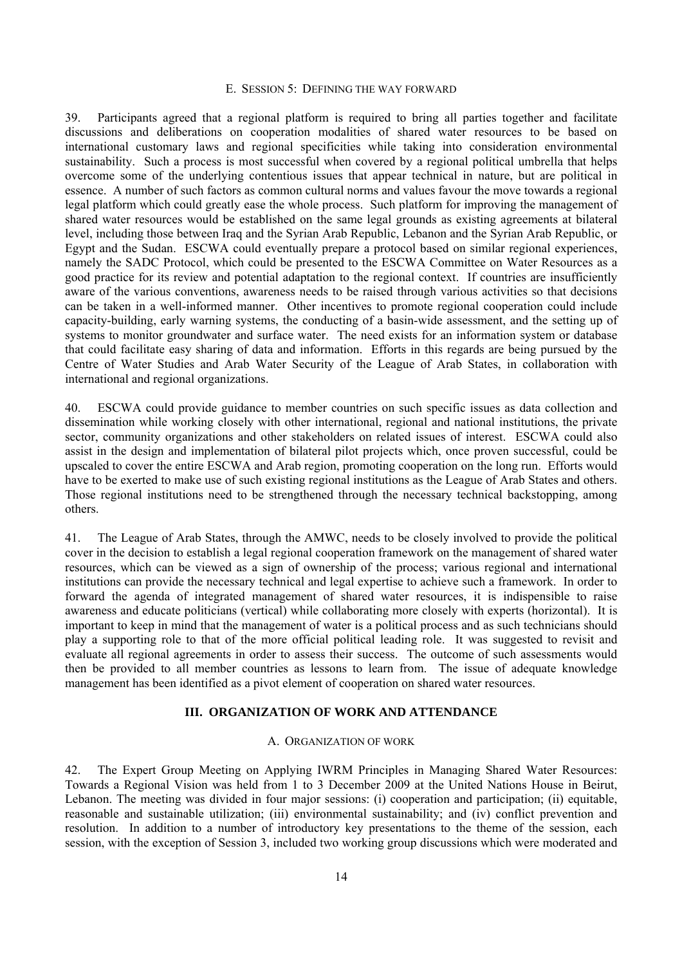#### E. SESSION 5: DEFINING THE WAY FORWARD

39. Participants agreed that a regional platform is required to bring all parties together and facilitate discussions and deliberations on cooperation modalities of shared water resources to be based on international customary laws and regional specificities while taking into consideration environmental sustainability. Such a process is most successful when covered by a regional political umbrella that helps overcome some of the underlying contentious issues that appear technical in nature, but are political in essence. A number of such factors as common cultural norms and values favour the move towards a regional legal platform which could greatly ease the whole process. Such platform for improving the management of shared water resources would be established on the same legal grounds as existing agreements at bilateral level, including those between Iraq and the Syrian Arab Republic, Lebanon and the Syrian Arab Republic, or Egypt and the Sudan. ESCWA could eventually prepare a protocol based on similar regional experiences, namely the SADC Protocol, which could be presented to the ESCWA Committee on Water Resources as a good practice for its review and potential adaptation to the regional context. If countries are insufficiently aware of the various conventions, awareness needs to be raised through various activities so that decisions can be taken in a well-informed manner. Other incentives to promote regional cooperation could include capacity-building, early warning systems, the conducting of a basin-wide assessment, and the setting up of systems to monitor groundwater and surface water. The need exists for an information system or database that could facilitate easy sharing of data and information. Efforts in this regards are being pursued by the Centre of Water Studies and Arab Water Security of the League of Arab States, in collaboration with international and regional organizations.

40. ESCWA could provide guidance to member countries on such specific issues as data collection and dissemination while working closely with other international, regional and national institutions, the private sector, community organizations and other stakeholders on related issues of interest. ESCWA could also assist in the design and implementation of bilateral pilot projects which, once proven successful, could be upscaled to cover the entire ESCWA and Arab region, promoting cooperation on the long run. Efforts would have to be exerted to make use of such existing regional institutions as the League of Arab States and others. Those regional institutions need to be strengthened through the necessary technical backstopping, among others.

41. The League of Arab States, through the AMWC, needs to be closely involved to provide the political cover in the decision to establish a legal regional cooperation framework on the management of shared water resources, which can be viewed as a sign of ownership of the process; various regional and international institutions can provide the necessary technical and legal expertise to achieve such a framework. In order to forward the agenda of integrated management of shared water resources, it is indispensible to raise awareness and educate politicians (vertical) while collaborating more closely with experts (horizontal). It is important to keep in mind that the management of water is a political process and as such technicians should play a supporting role to that of the more official political leading role. It was suggested to revisit and evaluate all regional agreements in order to assess their success. The outcome of such assessments would then be provided to all member countries as lessons to learn from. The issue of adequate knowledge management has been identified as a pivot element of cooperation on shared water resources.

# **III. ORGANIZATION OF WORK AND ATTENDANCE**

#### A. ORGANIZATION OF WORK

42. The Expert Group Meeting on Applying IWRM Principles in Managing Shared Water Resources: Towards a Regional Vision was held from 1 to 3 December 2009 at the United Nations House in Beirut, Lebanon. The meeting was divided in four major sessions: (i) cooperation and participation; (ii) equitable, reasonable and sustainable utilization; (iii) environmental sustainability; and (iv) conflict prevention and resolution. In addition to a number of introductory key presentations to the theme of the session, each session, with the exception of Session 3, included two working group discussions which were moderated and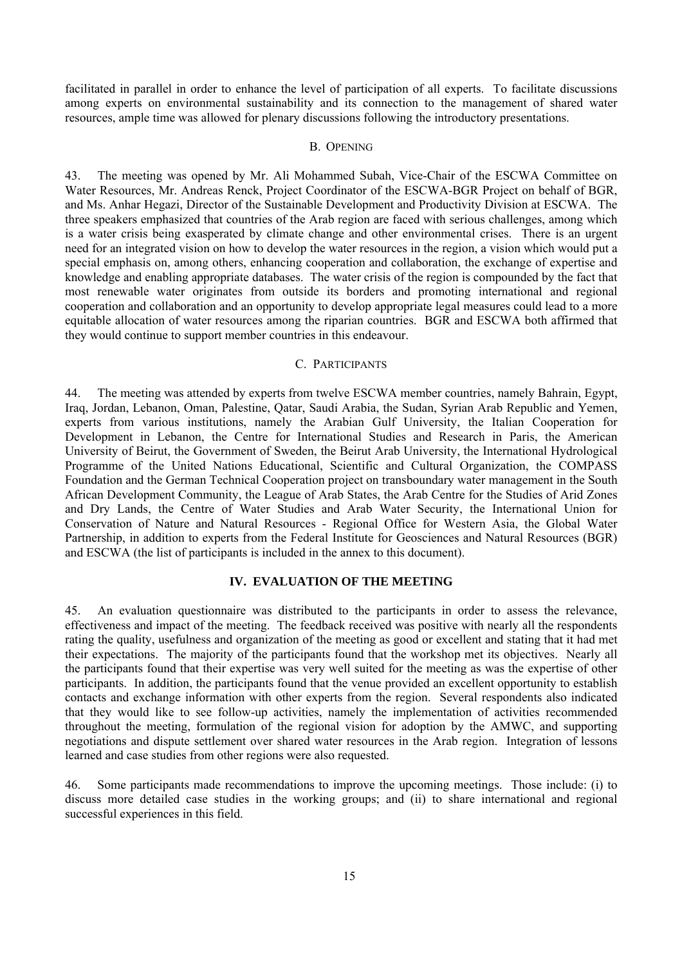facilitated in parallel in order to enhance the level of participation of all experts. To facilitate discussions among experts on environmental sustainability and its connection to the management of shared water resources, ample time was allowed for plenary discussions following the introductory presentations.

#### B. OPENING

43. The meeting was opened by Mr. Ali Mohammed Subah, Vice-Chair of the ESCWA Committee on Water Resources, Mr. Andreas Renck, Project Coordinator of the ESCWA-BGR Project on behalf of BGR, and Ms. Anhar Hegazi, Director of the Sustainable Development and Productivity Division at ESCWA. The three speakers emphasized that countries of the Arab region are faced with serious challenges, among which is a water crisis being exasperated by climate change and other environmental crises. There is an urgent need for an integrated vision on how to develop the water resources in the region, a vision which would put a special emphasis on, among others, enhancing cooperation and collaboration, the exchange of expertise and knowledge and enabling appropriate databases. The water crisis of the region is compounded by the fact that most renewable water originates from outside its borders and promoting international and regional cooperation and collaboration and an opportunity to develop appropriate legal measures could lead to a more equitable allocation of water resources among the riparian countries. BGR and ESCWA both affirmed that they would continue to support member countries in this endeavour.

#### C. PARTICIPANTS

44. The meeting was attended by experts from twelve ESCWA member countries, namely Bahrain, Egypt, Iraq, Jordan, Lebanon, Oman, Palestine, Qatar, Saudi Arabia, the Sudan, Syrian Arab Republic and Yemen, experts from various institutions, namely the Arabian Gulf University, the Italian Cooperation for Development in Lebanon, the Centre for International Studies and Research in Paris, the American University of Beirut, the Government of Sweden, the Beirut Arab University, the International Hydrological Programme of the United Nations Educational, Scientific and Cultural Organization, the COMPASS Foundation and the German Technical Cooperation project on transboundary water management in the South African Development Community, the League of Arab States, the Arab Centre for the Studies of Arid Zones and Dry Lands, the Centre of Water Studies and Arab Water Security, the International Union for Conservation of Nature and Natural Resources - Regional Office for Western Asia, the Global Water Partnership, in addition to experts from the Federal Institute for Geosciences and Natural Resources (BGR) and ESCWA (the list of participants is included in the annex to this document).

# **IV. EVALUATION OF THE MEETING**

45. An evaluation questionnaire was distributed to the participants in order to assess the relevance, effectiveness and impact of the meeting. The feedback received was positive with nearly all the respondents rating the quality, usefulness and organization of the meeting as good or excellent and stating that it had met their expectations. The majority of the participants found that the workshop met its objectives. Nearly all the participants found that their expertise was very well suited for the meeting as was the expertise of other participants. In addition, the participants found that the venue provided an excellent opportunity to establish contacts and exchange information with other experts from the region. Several respondents also indicated that they would like to see follow-up activities, namely the implementation of activities recommended throughout the meeting, formulation of the regional vision for adoption by the AMWC, and supporting negotiations and dispute settlement over shared water resources in the Arab region. Integration of lessons learned and case studies from other regions were also requested.

46. Some participants made recommendations to improve the upcoming meetings. Those include: (i) to discuss more detailed case studies in the working groups; and (ii) to share international and regional successful experiences in this field.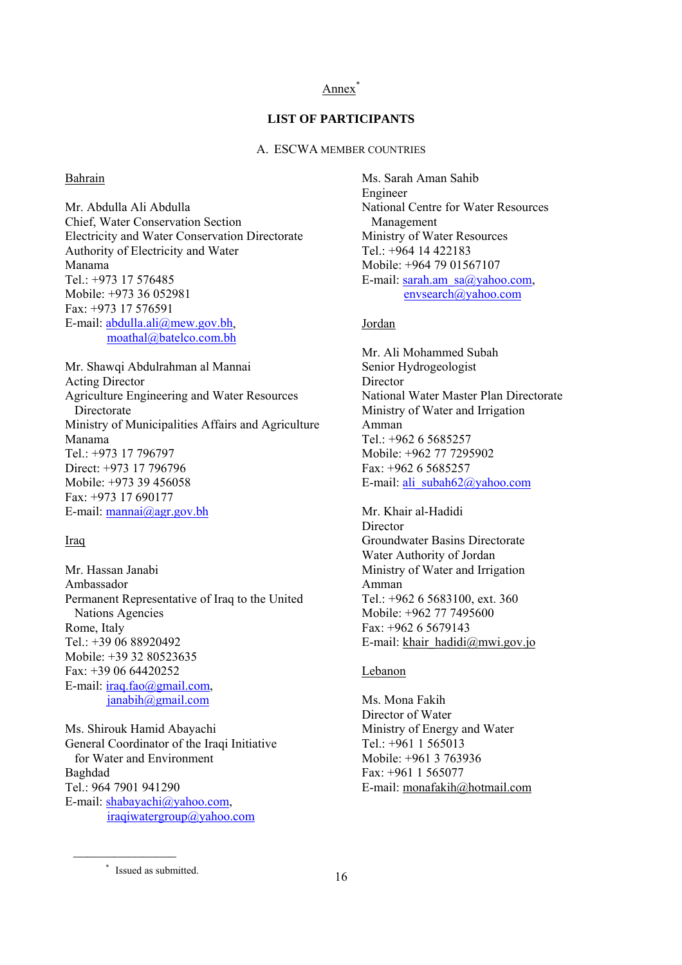#### Annex<sup>\*</sup>

# **LIST OF PARTICIPANTS**

A. ESCWA MEMBER COUNTRIES

#### Bahrain

Mr. Abdulla Ali Abdulla Chief, Water Conservation Section Electricity and Water Conservation Directorate Authority of Electricity and Water Manama Tel.: +973 17 576485 Mobile: +973 36 052981 Fax: +973 17 576591 E-mail: abdulla.ali@mew.gov.bh, moathal@batelco.com.bh

Mr. Shawqi Abdulrahman al Mannai Acting Director Agriculture Engineering and Water Resources Directorate Ministry of Municipalities Affairs and Agriculture Manama Tel.: +973 17 796797 Direct: +973 17 796796 Mobile: +973 39 456058 Fax: +973 17 690177 E-mail: mannai@agr.gov.bh

#### Iraq

Mr. Hassan Janabi Ambassador Permanent Representative of Iraq to the United Nations Agencies Rome, Italy Tel.: +39 06 88920492 Mobile: +39 32 80523635 Fax: +39 06 64420252 E-mail: iraq.fao@gmail.com,  $janabih@gmail.com$ 

Ms. Shirouk Hamid Abayachi General Coordinator of the Iraqi Initiative for Water and Environment Baghdad Tel.: 964 7901 941290 E-mail: shabayachi@yahoo.com, iraqiwatergroup@yahoo.com

Ms. Sarah Aman Sahib Engineer National Centre for Water Resources Management Ministry of Water Resources Tel.: +964 14 422183 Mobile: +964 79 01567107 E-mail: sarah.am\_sa $@$ vahoo.com, envsearch@yahoo.com

#### Jordan

Mr. Ali Mohammed Subah Senior Hydrogeologist **Director** National Water Master Plan Directorate Ministry of Water and Irrigation Amman Tel.: +962 6 5685257 Mobile: +962 77 7295902 Fax: +962 6 5685257 E-mail: ali\_subah62@yahoo.com

Mr. Khair al-Hadidi **Director** Groundwater Basins Directorate Water Authority of Jordan Ministry of Water and Irrigation Amman Tel.: +962 6 5683100, ext. 360 Mobile: +962 77 7495600  $Fax + 96265679143$ E-mail: khair\_hadidi@mwi.gov.jo

#### Lebanon

Ms. Mona Fakih Director of Water Ministry of Energy and Water Tel.:  $+961$  1 565013 Mobile: +961 3 763936 Fax: +961 1 565077 E-mail: monafakih@hotmail.com

 $\mathcal{L}_\text{max}$ 

 <sup>\*</sup> Issued as submitted.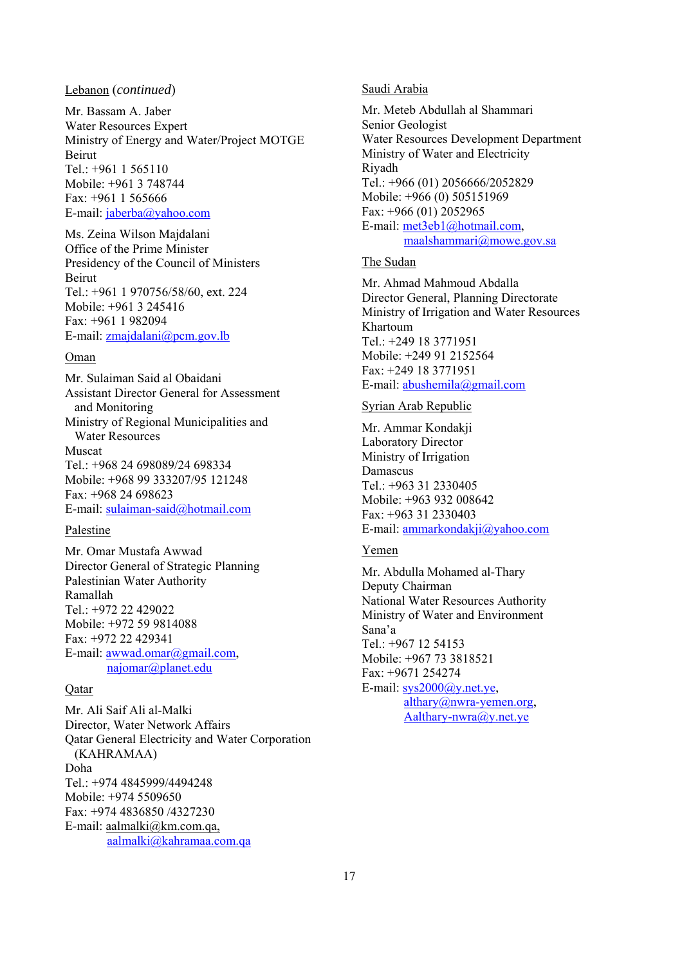#### Lebanon (*continued*)

Mr. Bassam A. Jaber Water Resources Expert Ministry of Energy and Water/Project MOTGE Beirut Tel.: +961 1 565110 Mobile: +961 3 748744 Fax: +961 1 565666 E-mail: jaberba@yahoo.com

Ms. Zeina Wilson Majdalani Office of the Prime Minister Presidency of the Council of Ministers Beirut Tel.: +961 1 970756/58/60, ext. 224 Mobile: +961 3 245416 Fax: +961 1 982094 E-mail: zmajdalani@pcm.gov.lb

#### Oman

Mr. Sulaiman Said al Obaidani Assistant Director General for Assessment and Monitoring Ministry of Regional Municipalities and Water Resources Muscat Tel.: +968 24 698089/24 698334 Mobile: +968 99 333207/95 121248 Fax: +968 24 698623 E-mail: sulaiman-said@hotmail.com

#### Palestine

Mr. Omar Mustafa Awwad Director General of Strategic Planning Palestinian Water Authority Ramallah Tel $.+972$  22 429022 Mobile: +972 59 9814088 Fax: +972 22 429341 E-mail: awwad.omar@gmail.com, najomar@planet.edu

# Qatar

Mr. Ali Saif Ali al-Malki Director, Water Network Affairs Qatar General Electricity and Water Corporation (KAHRAMAA) Doha Tel.: +974 4845999/4494248 Mobile: +974 5509650 Fax: +974 4836850 /4327230 E-mail: aalmalki@km.com.qa, aalmalki@kahramaa.com.qa

#### Saudi Arabia

Mr. Meteb Abdullah al Shammari Senior Geologist Water Resources Development Department Ministry of Water and Electricity Riyadh Tel.: +966 (01) 2056666/2052829 Mobile: +966 (0) 505151969 Fax: +966 (01) 2052965 E-mail: met3eb1@hotmail.com, maalshammari@mowe.gov.sa

# The Sudan

Mr. Ahmad Mahmoud Abdalla Director General, Planning Directorate Ministry of Irrigation and Water Resources Khartoum Tel.: +249 18 3771951 Mobile: +249 91 2152564 Fax: +249 18 3771951 E-mail: abushemila@gmail.com

# Syrian Arab Republic

Mr. Ammar Kondakji Laboratory Director Ministry of Irrigation Damascus Tel.: +963 31 2330405 Mobile: +963 932 008642 Fax: +963 31 2330403 E-mail: ammarkondakji@yahoo.com

#### Yemen

Mr. Abdulla Mohamed al-Thary Deputy Chairman National Water Resources Authority Ministry of Water and Environment Sana'a Tel.: +967 12 54153 Mobile: +967 73 3818521 Fax: +9671 254274 E-mail:  $sys2000@y.net.ye$ , althary@nwra-yemen.org, Aalthary-nwra@y.net.ye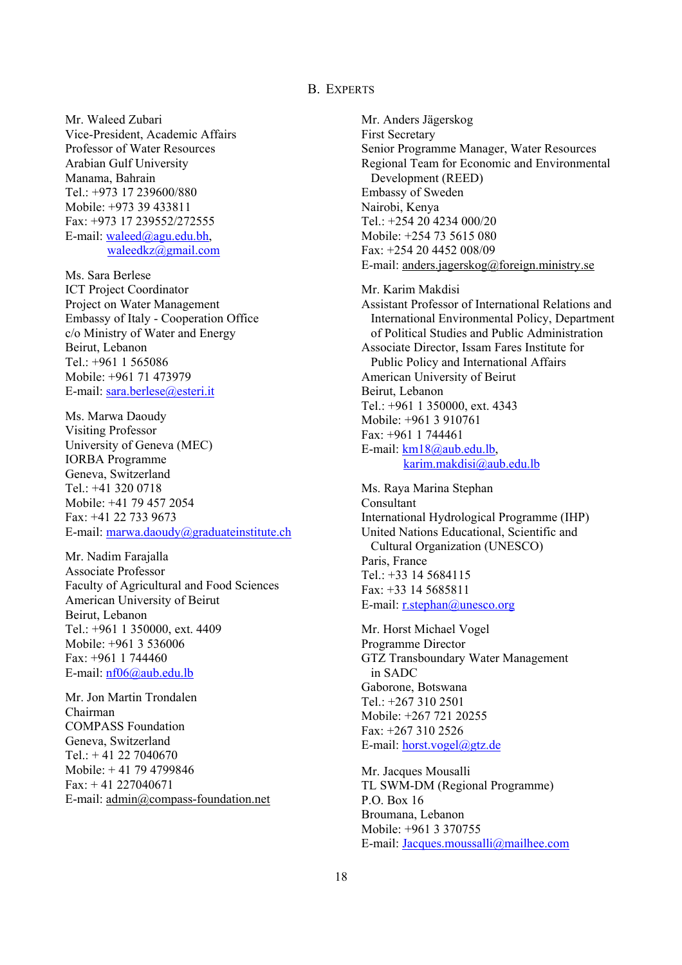# B. EXPERTS

Mr. Waleed Zubari Vice-President, Academic Affairs Professor of Water Resources Arabian Gulf University Manama, Bahrain Tel.: +973 17 239600/880 Mobile: +973 39 433811 Fax: +973 17 239552/272555 E-mail: waleed@agu.edu.bh, waleedkz@gmail.com

Ms. Sara Berlese ICT Project Coordinator Project on Water Management Embassy of Italy - Cooperation Office c/o Ministry of Water and Energy Beirut, Lebanon Tel.: +961 1 565086 Mobile: +961 71 473979 E-mail: sara.berlese@esteri.it

Ms. Marwa Daoudy Visiting Professor University of Geneva (MEC) IORBA Programme Geneva, Switzerland Tel $\cdot$  +41 320 0718 Mobile: +41 79 457 2054 Fax: +41 22 733 9673 E-mail: marwa.daoudy@graduateinstitute.ch

Mr. Nadim Farajalla Associate Professor Faculty of Agricultural and Food Sciences American University of Beirut Beirut, Lebanon Tel.: +961 1 350000, ext. 4409 Mobile: +961 3 536006 Fax: +961 1 744460 E-mail: nf06@aub.edu.lb

Mr. Jon Martin Trondalen Chairman COMPASS Foundation Geneva, Switzerland Tel.: + 41 22 7040670 Mobile: + 41 79 4799846  $Fax: +41 227040671$ E-mail: admin@compass-foundation.net

Mr. Anders Jägerskog First Secretary Senior Programme Manager, Water Resources Regional Team for Economic and Environmental Development (REED) Embassy of Sweden Nairobi, Kenya Tel.: +254 20 4234 000/20 Mobile: +254 73 5615 080 Fax: +254 20 4452 008/09 E-mail: anders.jagerskog@foreign.ministry.se Mr. Karim Makdisi Assistant Professor of International Relations and International Environmental Policy, Department

 of Political Studies and Public Administration Associate Director, Issam Fares Institute for Public Policy and International Affairs American University of Beirut Beirut, Lebanon Tel.: +961 1 350000, ext. 4343 Mobile: +961 3 910761  $Fax + 9611744461$ E-mail: km18@aub.edu.lb, karim.makdisi@aub.edu.lb

Ms. Raya Marina Stephan Consultant International Hydrological Programme (IHP) United Nations Educational, Scientific and Cultural Organization (UNESCO) Paris, France Tel.: +33 14 5684115  $Fax + 33$  14 5685811 E-mail: r.stephan@unesco.org

Mr. Horst Michael Vogel Programme Director GTZ Transboundary Water Management in SADC Gaborone, Botswana Tel.: +267 310 2501 Mobile: +267 721 20255 Fax: +267 310 2526 E-mail: horst.vogel@gtz.de

Mr. Jacques Mousalli TL SWM-DM (Regional Programme) P.O. Box 16 Broumana, Lebanon Mobile: +961 3 370755 E-mail: Jacques.moussalli@mailhee.com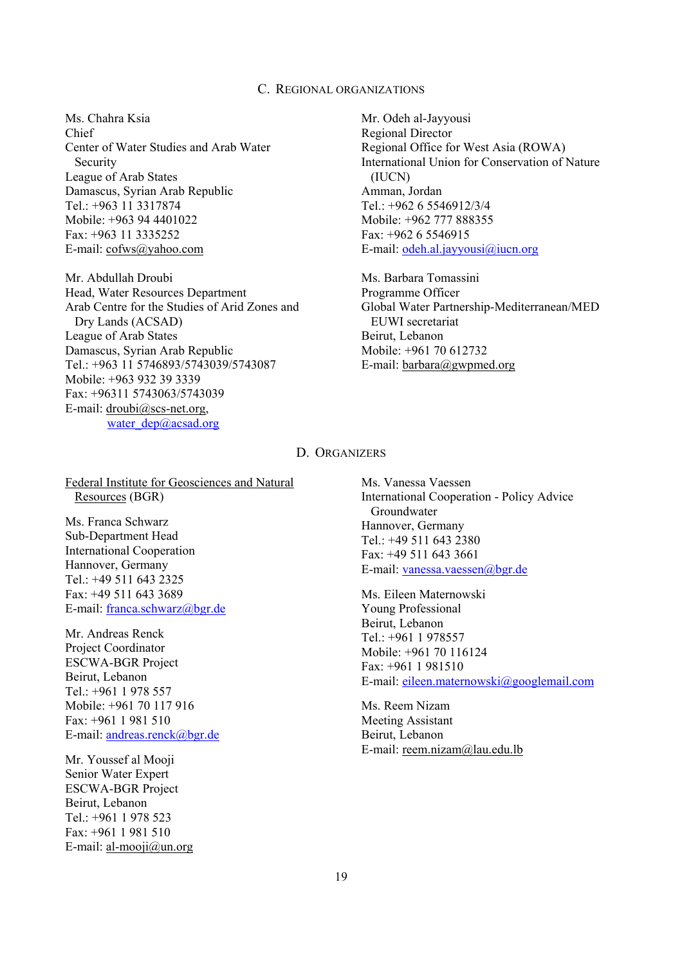# C. REGIONAL ORGANIZATIONS

Ms. Chahra Ksia Chief Center of Water Studies and Arab Water Security League of Arab States Damascus, Syrian Arab Republic Tel.: +963 11 3317874 Mobile: +963 94 4401022 Fax: +963 11 3335252 E-mail: cofws@yahoo.com

Mr. Abdullah Droubi Head, Water Resources Department Arab Centre for the Studies of Arid Zones and Dry Lands (ACSAD) League of Arab States Damascus, Syrian Arab Republic Tel.: +963 11 5746893/5743039/5743087 Mobile: +963 932 39 3339 Fax: +96311 5743063/5743039 E-mail: droubi@scs-net.org, water  $dep@acsad.org$ 

Mr. Odeh al-Jayyousi Regional Director Regional Office for West Asia (ROWA) International Union for Conservation of Nature (IUCN) Amman, Jordan Tel.: +962 6 5546912/3/4 Mobile: +962 777 888355 Fax: +962 6 5546915 E-mail: odeh.al.jayyousi@iucn.org

Ms. Barbara Tomassini Programme Officer Global Water Partnership-Mediterranean/MED EUWI secretariat Beirut, Lebanon Mobile: +961 70 612732 E-mail: barbara@gwpmed.org

#### D. ORGANIZERS

Federal Institute for Geosciences and Natural Resources (BGR)

Ms. Franca Schwarz Sub-Department Head International Cooperation Hannover, Germany Tel.: +49 511 643 2325 Fax: +49 511 643 3689 E-mail: franca.schwarz@bgr.de

Mr. Andreas Renck Project Coordinator ESCWA-BGR Project Beirut, Lebanon Tel.: +961 1 978 557 Mobile: +961 70 117 916 Fax: +961 1 981 510 E-mail: andreas.renck@bgr.de

Mr. Youssef al Mooji Senior Water Expert ESCWA-BGR Project Beirut, Lebanon Tel.:  $+961$  1 978 523 Fax: +961 1 981 510 E-mail: al-mooji $@$ un.org Ms. Vanessa Vaessen International Cooperation - Policy Advice Groundwater Hannover, Germany Tel.: +49 511 643 2380 Fax: +49 511 643 3661 E-mail: vanessa.vaessen@bgr.de

Ms. Eileen Maternowski Young Professional Beirut, Lebanon Tel.: +961 1 978557 Mobile: +961 70 116124 Fax: +961 1 981510 E-mail: eileen.maternowski@googlemail.com

Ms. Reem Nizam Meeting Assistant Beirut, Lebanon E-mail: reem.nizam@lau.edu.lb